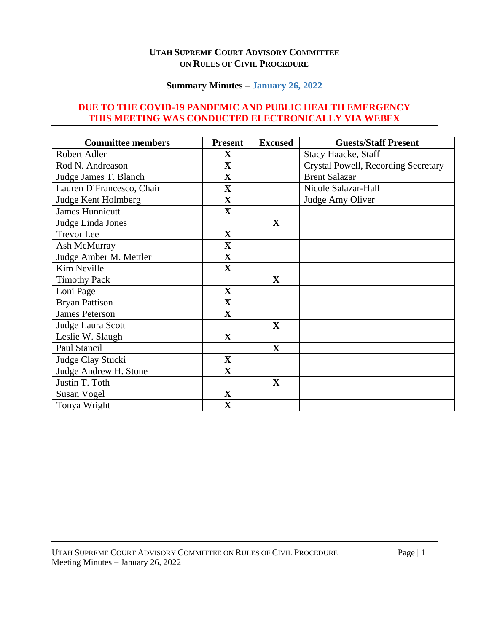#### **UTAH SUPREME COURT ADVISORY COMMITTEE ON RULES OF CIVIL PROCEDURE**

#### **Summary Minutes – January 26, 2022**

## **DUE TO THE COVID-19 PANDEMIC AND PUBLIC HEALTH EMERGENCY THIS MEETING WAS CONDUCTED ELECTRONICALLY VIA WEBEX**

| <b>Committee members</b>  | <b>Present</b>          | <b>Excused</b> | <b>Guests/Staff Present</b>         |
|---------------------------|-------------------------|----------------|-------------------------------------|
| Robert Adler              | $\mathbf X$             |                | <b>Stacy Haacke, Staff</b>          |
| Rod N. Andreason          | $\overline{\mathbf{X}}$ |                | Crystal Powell, Recording Secretary |
| Judge James T. Blanch     | $\overline{\mathbf{X}}$ |                | <b>Brent Salazar</b>                |
| Lauren DiFrancesco, Chair | $\overline{\mathbf{X}}$ |                | Nicole Salazar-Hall                 |
| Judge Kent Holmberg       | $\mathbf X$             |                | Judge Amy Oliver                    |
| <b>James Hunnicutt</b>    | $\overline{\mathbf{X}}$ |                |                                     |
| Judge Linda Jones         |                         | $\mathbf{X}$   |                                     |
| <b>Trevor</b> Lee         | $\overline{\mathbf{X}}$ |                |                                     |
| Ash McMurray              | $\mathbf X$             |                |                                     |
| Judge Amber M. Mettler    | $\overline{\mathbf{X}}$ |                |                                     |
| Kim Neville               | $\mathbf X$             |                |                                     |
| <b>Timothy Pack</b>       |                         | $\mathbf X$    |                                     |
| Loni Page                 | $\mathbf X$             |                |                                     |
| <b>Bryan Pattison</b>     | $\mathbf X$             |                |                                     |
| <b>James Peterson</b>     | $\mathbf{X}$            |                |                                     |
| Judge Laura Scott         |                         | $\mathbf X$    |                                     |
| Leslie W. Slaugh          | $\mathbf X$             |                |                                     |
| Paul Stancil              |                         | $\mathbf X$    |                                     |
| Judge Clay Stucki         | $\mathbf X$             |                |                                     |
| Judge Andrew H. Stone     | $\mathbf X$             |                |                                     |
| Justin T. Toth            |                         | $\mathbf{X}$   |                                     |
| <b>Susan Vogel</b>        | $\mathbf X$             |                |                                     |
| Tonya Wright              | $\overline{\mathbf{X}}$ |                |                                     |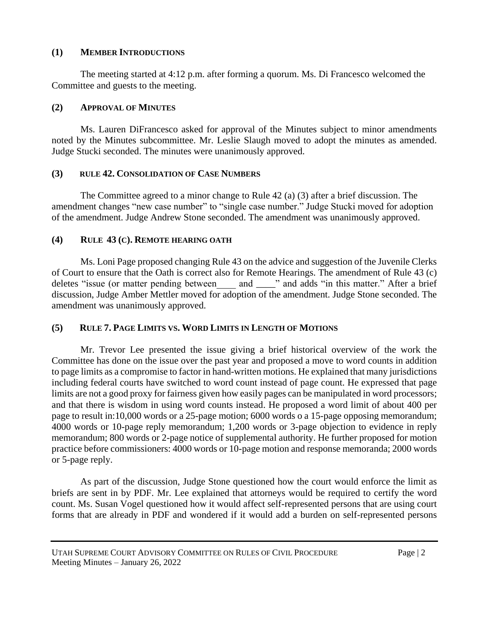## **(1) MEMBER INTRODUCTIONS**

The meeting started at 4:12 p.m. after forming a quorum. Ms. Di Francesco welcomed the Committee and guests to the meeting.

## **(2) APPROVAL OF MINUTES**

Ms. Lauren DiFrancesco asked for approval of the Minutes subject to minor amendments noted by the Minutes subcommittee. Mr. Leslie Slaugh moved to adopt the minutes as amended. Judge Stucki seconded. The minutes were unanimously approved.

# **(3) RULE 42. CONSOLIDATION OF CASE NUMBERS**

The Committee agreed to a minor change to Rule 42 (a) (3) after a brief discussion. The amendment changes "new case number" to "single case number." Judge Stucki moved for adoption of the amendment. Judge Andrew Stone seconded. The amendment was unanimously approved.

# **(4) RULE 43 (C). REMOTE HEARING OATH**

Ms. Loni Page proposed changing Rule 43 on the advice and suggestion of the Juvenile Clerks of Court to ensure that the Oath is correct also for Remote Hearings. The amendment of Rule 43 (c) deletes "issue (or matter pending between and  $\cdots$  and adds "in this matter." After a brief discussion, Judge Amber Mettler moved for adoption of the amendment. Judge Stone seconded. The amendment was unanimously approved.

# **(5) RULE 7. PAGE LIMITS VS. WORD LIMITS IN LENGTH OF MOTIONS**

Mr. Trevor Lee presented the issue giving a brief historical overview of the work the Committee has done on the issue over the past year and proposed a move to word counts in addition to page limits as a compromise to factor in hand-written motions. He explained that many jurisdictions including federal courts have switched to word count instead of page count. He expressed that page limits are not a good proxy for fairness given how easily pages can be manipulated in word processors; and that there is wisdom in using word counts instead. He proposed a word limit of about 400 per page to result in:10,000 words or a 25-page motion; 6000 words o a 15-page opposing memorandum; 4000 words or 10-page reply memorandum; 1,200 words or 3-page objection to evidence in reply memorandum; 800 words or 2-page notice of supplemental authority. He further proposed for motion practice before commissioners: 4000 words or 10-page motion and response memoranda; 2000 words or 5-page reply.

As part of the discussion, Judge Stone questioned how the court would enforce the limit as briefs are sent in by PDF. Mr. Lee explained that attorneys would be required to certify the word count. Ms. Susan Vogel questioned how it would affect self-represented persons that are using court forms that are already in PDF and wondered if it would add a burden on self-represented persons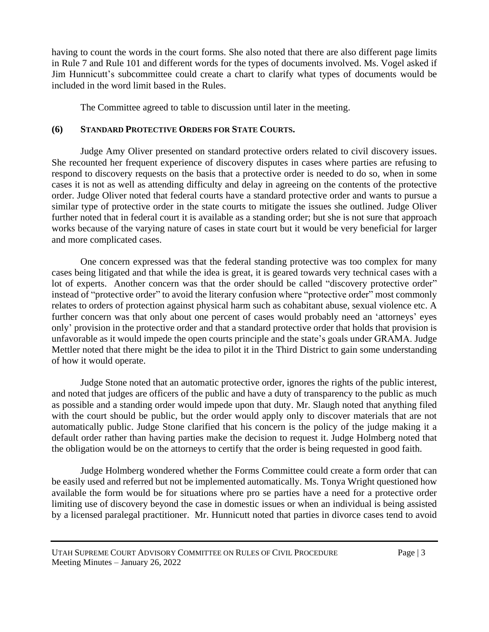having to count the words in the court forms. She also noted that there are also different page limits in Rule 7 and Rule 101 and different words for the types of documents involved. Ms. Vogel asked if Jim Hunnicutt's subcommittee could create a chart to clarify what types of documents would be included in the word limit based in the Rules.

The Committee agreed to table to discussion until later in the meeting.

## **(6) STANDARD PROTECTIVE ORDERS FOR STATE COURTS.**

Judge Amy Oliver presented on standard protective orders related to civil discovery issues. She recounted her frequent experience of discovery disputes in cases where parties are refusing to respond to discovery requests on the basis that a protective order is needed to do so, when in some cases it is not as well as attending difficulty and delay in agreeing on the contents of the protective order. Judge Oliver noted that federal courts have a standard protective order and wants to pursue a similar type of protective order in the state courts to mitigate the issues she outlined. Judge Oliver further noted that in federal court it is available as a standing order; but she is not sure that approach works because of the varying nature of cases in state court but it would be very beneficial for larger and more complicated cases.

One concern expressed was that the federal standing protective was too complex for many cases being litigated and that while the idea is great, it is geared towards very technical cases with a lot of experts. Another concern was that the order should be called "discovery protective order" instead of "protective order" to avoid the literary confusion where "protective order" most commonly relates to orders of protection against physical harm such as cohabitant abuse, sexual violence etc. A further concern was that only about one percent of cases would probably need an 'attorneys' eyes only' provision in the protective order and that a standard protective order that holds that provision is unfavorable as it would impede the open courts principle and the state's goals under GRAMA. Judge Mettler noted that there might be the idea to pilot it in the Third District to gain some understanding of how it would operate.

Judge Stone noted that an automatic protective order, ignores the rights of the public interest, and noted that judges are officers of the public and have a duty of transparency to the public as much as possible and a standing order would impede upon that duty. Mr. Slaugh noted that anything filed with the court should be public, but the order would apply only to discover materials that are not automatically public. Judge Stone clarified that his concern is the policy of the judge making it a default order rather than having parties make the decision to request it. Judge Holmberg noted that the obligation would be on the attorneys to certify that the order is being requested in good faith.

Judge Holmberg wondered whether the Forms Committee could create a form order that can be easily used and referred but not be implemented automatically. Ms. Tonya Wright questioned how available the form would be for situations where pro se parties have a need for a protective order limiting use of discovery beyond the case in domestic issues or when an individual is being assisted by a licensed paralegal practitioner. Mr. Hunnicutt noted that parties in divorce cases tend to avoid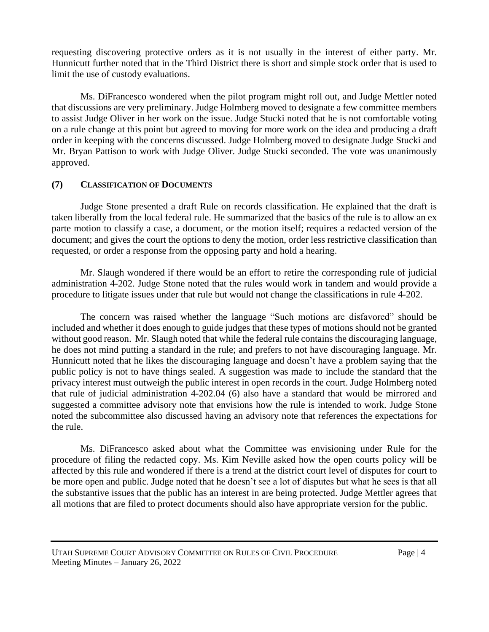requesting discovering protective orders as it is not usually in the interest of either party. Mr. Hunnicutt further noted that in the Third District there is short and simple stock order that is used to limit the use of custody evaluations.

Ms. DiFrancesco wondered when the pilot program might roll out, and Judge Mettler noted that discussions are very preliminary. Judge Holmberg moved to designate a few committee members to assist Judge Oliver in her work on the issue. Judge Stucki noted that he is not comfortable voting on a rule change at this point but agreed to moving for more work on the idea and producing a draft order in keeping with the concerns discussed. Judge Holmberg moved to designate Judge Stucki and Mr. Bryan Pattison to work with Judge Oliver. Judge Stucki seconded. The vote was unanimously approved.

## **(7) CLASSIFICATION OF DOCUMENTS**

Judge Stone presented a draft Rule on records classification. He explained that the draft is taken liberally from the local federal rule. He summarized that the basics of the rule is to allow an ex parte motion to classify a case, a document, or the motion itself; requires a redacted version of the document; and gives the court the options to deny the motion, order less restrictive classification than requested, or order a response from the opposing party and hold a hearing.

Mr. Slaugh wondered if there would be an effort to retire the corresponding rule of judicial administration 4-202. Judge Stone noted that the rules would work in tandem and would provide a procedure to litigate issues under that rule but would not change the classifications in rule 4-202.

The concern was raised whether the language "Such motions are disfavored" should be included and whether it does enough to guide judges that these types of motions should not be granted without good reason. Mr. Slaugh noted that while the federal rule contains the discouraging language, he does not mind putting a standard in the rule; and prefers to not have discouraging language. Mr. Hunnicutt noted that he likes the discouraging language and doesn't have a problem saying that the public policy is not to have things sealed. A suggestion was made to include the standard that the privacy interest must outweigh the public interest in open records in the court. Judge Holmberg noted that rule of judicial administration 4-202.04 (6) also have a standard that would be mirrored and suggested a committee advisory note that envisions how the rule is intended to work. Judge Stone noted the subcommittee also discussed having an advisory note that references the expectations for the rule.

Ms. DiFrancesco asked about what the Committee was envisioning under Rule for the procedure of filing the redacted copy. Ms. Kim Neville asked how the open courts policy will be affected by this rule and wondered if there is a trend at the district court level of disputes for court to be more open and public. Judge noted that he doesn't see a lot of disputes but what he sees is that all the substantive issues that the public has an interest in are being protected. Judge Mettler agrees that all motions that are filed to protect documents should also have appropriate version for the public.